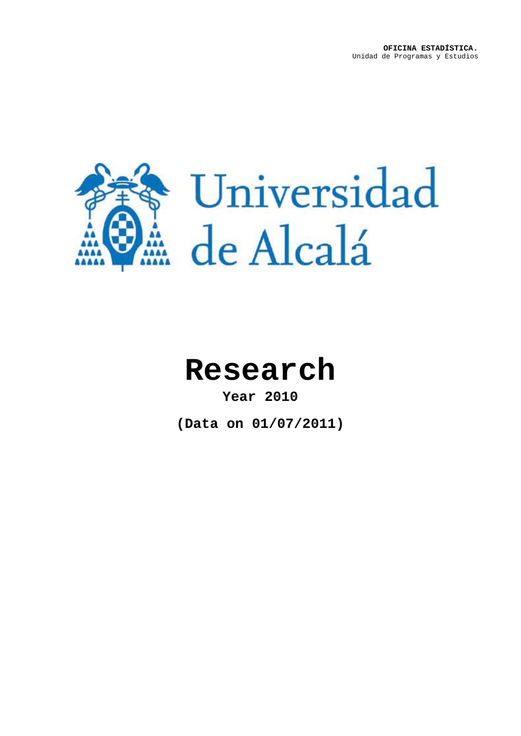

# **Research**

**Year 2010**

**(Data on 01/07/2011)**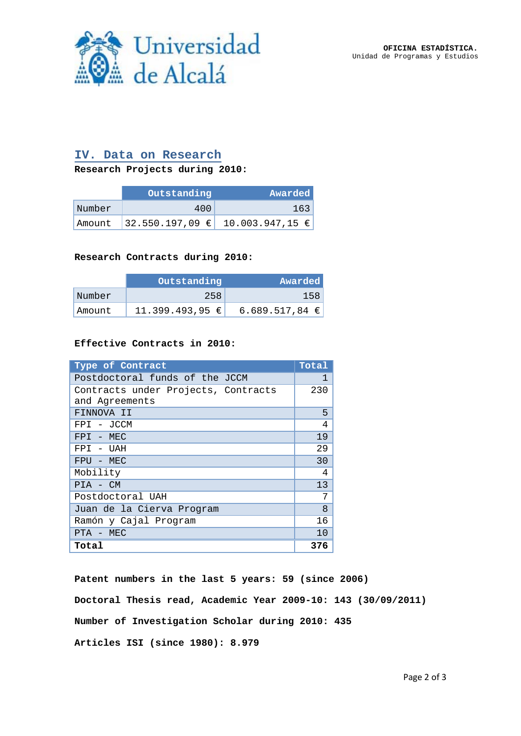

## **IV. Data on Research**

**Research Projects during 2010:**

|        | Outstanding | Awarded                          |
|--------|-------------|----------------------------------|
| Number | 400         | 163                              |
| Amount |             | 32.550.197,09 €  10.003.947,15 € |

#### **Research Contracts during 2010:**

|        | Outstanding         | Awarded        |
|--------|---------------------|----------------|
| Number | 258                 | 158            |
| Amount | $11.399.493,95 \in$ | 6.689.517,84 € |

### **Effective Contracts in 2010:**

| Type of Contract                    | Total |  |
|-------------------------------------|-------|--|
| Postdoctoral funds of the JCCM      | 1     |  |
| Contracts under Projects, Contracts |       |  |
| and Agreements                      |       |  |
| FINNOVA II                          |       |  |
| FPI - JCCM                          | 4     |  |
| $FPI - MEC$                         | 19    |  |
| $FPI - UAH$                         | 29    |  |
| $FPIJ - MEC$                        | 30    |  |
| Mobility                            |       |  |
| $PIA - CM$                          |       |  |
| Postdoctoral UAH                    |       |  |
| Juan de la Cierva Program           | 8     |  |
| Ramón y Cajal Program               |       |  |
| $PTA - MEC$                         |       |  |
| Total                               |       |  |

**Patent numbers in the last 5 years: 59 (since 2006) Doctoral Thesis read, Academic Year 2009-10: 143 (30/09/2011) Number of Investigation Scholar during 2010: 435 Articles ISI (since 1980): 8.979**